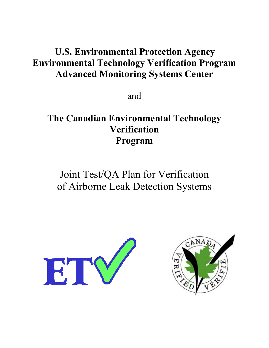# **U.S. Environmental Protection Agency Environmental Technology Verification Program Advanced Monitoring Systems Center**

and

# **The Canadian Environmental Technology Verification Program**

Joint Test/QA Plan for Verification of Airborne Leak Detection Systems



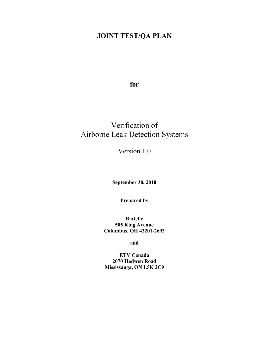# **JOINT TEST/QA PLAN**

**for**

# Verification of Airborne Leak Detection Systems

Version 1.0

**September 30, 2010**

**Prepared by**

**Battelle 505 King Avenue Columbus, OH 43201-2693** 

**and**

**ETV Canada 2070 Hadwen Road Mississauga, ON L5K 2C9**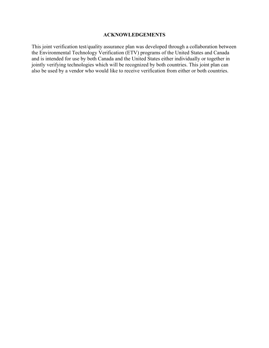#### **ACKNOWLEDGEMENTS**

This joint verification test/quality assurance plan was developed through a collaboration between the Environmental Technology Verification (ETV) programs of the United States and Canada and is intended for use by both Canada and the United States either individually or together in jointly verifying technologies which will be recognized by both countries. This joint plan can also be used by a vendor who would like to receive verification from either or both countries.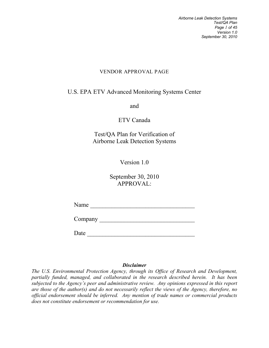*Airborne Leak Detection Systems Test/QA Plan Page 1 of 45 Version 1.0 September 30, 2010*

### VENDOR APPROVAL PAGE

# <span id="page-3-0"></span>U.S. EPA ETV Advanced Monitoring Systems Center

and

ETV Canada

Test/QA Plan for Verification of Airborne Leak Detection Systems

Version 1.0

September 30, 2010 APPROVAL:

Name \_\_\_\_\_\_\_\_\_\_\_\_\_\_\_\_\_\_\_\_\_\_\_\_\_\_\_\_\_\_\_\_\_\_

Company \_\_\_\_\_\_\_\_\_\_\_\_\_\_\_\_\_\_\_\_\_\_\_\_\_\_\_\_\_\_\_

Date \_\_\_\_\_\_\_\_\_\_\_\_\_\_\_\_\_\_\_\_\_\_\_\_\_\_\_\_\_\_\_\_\_\_\_

### *Disclaimer*

*The U.S. Environmental Protection Agency, through its Office of Research and Development, partially funded, managed, and collaborated in the research described herein. It has been subjected to the Agency's peer and administrative review. Any opinions expressed in this report are those of the author(s) and do not necessarily reflect the views of the Agency, therefore, no official endorsement should be inferred. Any mention of trade names or commercial products does not constitute endorsement or recommendation for use.*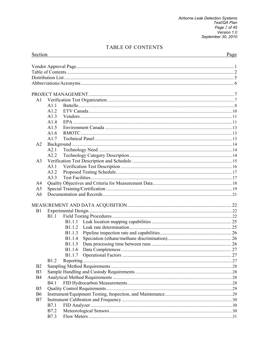# TABLE OF CONTENTS

<span id="page-4-0"></span>

| Section                          |                | Page |  |  |
|----------------------------------|----------------|------|--|--|
|                                  |                |      |  |  |
|                                  |                |      |  |  |
|                                  |                |      |  |  |
|                                  |                |      |  |  |
|                                  |                |      |  |  |
| A1                               |                |      |  |  |
|                                  | A1.1           |      |  |  |
|                                  | A12            |      |  |  |
|                                  | A1.3           |      |  |  |
|                                  | A1.4           |      |  |  |
|                                  | A1.5           |      |  |  |
|                                  | A1.6           |      |  |  |
|                                  | A1.7           |      |  |  |
| A <sub>2</sub>                   |                |      |  |  |
|                                  | A2.1           |      |  |  |
|                                  | A2.2           |      |  |  |
| A <sub>3</sub>                   | A3.1           |      |  |  |
|                                  | A3.2           |      |  |  |
|                                  | A3.3           |      |  |  |
| A4                               |                |      |  |  |
| A5                               |                |      |  |  |
| A <sub>6</sub>                   |                |      |  |  |
|                                  |                |      |  |  |
|                                  |                |      |  |  |
| B <sub>1</sub>                   |                |      |  |  |
|                                  | B1.1           |      |  |  |
|                                  |                |      |  |  |
|                                  |                |      |  |  |
|                                  | B1.1.3         |      |  |  |
|                                  | B1.1.4         |      |  |  |
|                                  | <b>B</b> 1.1.5 |      |  |  |
|                                  | <b>B</b> 1.1.6 |      |  |  |
|                                  | <b>B</b> 1.1.7 |      |  |  |
|                                  | <b>B</b> 1.2   |      |  |  |
| B <sub>2</sub>                   |                |      |  |  |
| B <sub>3</sub>                   |                |      |  |  |
| B4                               |                |      |  |  |
|                                  | <b>B4.1</b>    |      |  |  |
| B <sub>5</sub><br>B <sub>6</sub> |                |      |  |  |
| B7                               |                |      |  |  |
|                                  | <b>B</b> 7.1   |      |  |  |
|                                  | B7.2           |      |  |  |
|                                  | <b>B</b> 7.3   |      |  |  |
|                                  |                |      |  |  |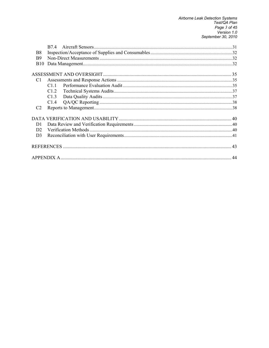| B8             |      |  |
|----------------|------|--|
| B <sub>9</sub> |      |  |
| <b>B</b> 10    |      |  |
|                |      |  |
|                |      |  |
| C <sub>1</sub> |      |  |
|                | C1.1 |  |
|                | C1.2 |  |
|                | C1.3 |  |
|                | C1.4 |  |
| C <sub>2</sub> |      |  |
|                |      |  |
| D <sub>1</sub> |      |  |
| D <sub>2</sub> |      |  |
| D <sub>3</sub> |      |  |
|                |      |  |
|                |      |  |
|                |      |  |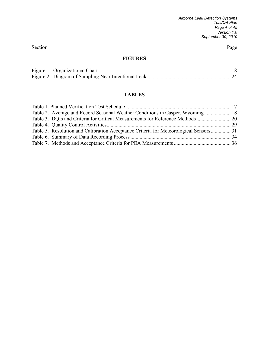### **FIGURES**

### **TABLES**

| Table 2. Average and Record Seasonal Weather Conditions in Casper, Wyoming 18         |  |
|---------------------------------------------------------------------------------------|--|
|                                                                                       |  |
|                                                                                       |  |
| Table 5. Resolution and Calibration Acceptance Criteria for Meteorological Sensors 31 |  |
|                                                                                       |  |
|                                                                                       |  |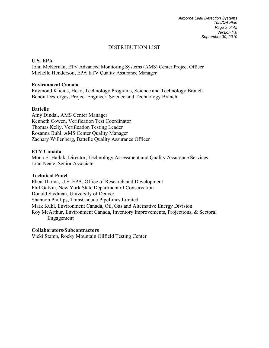*Airborne Leak Detection Systems Test/QA Plan Page 5 of 45 Version 1.0 September 30, 2010*

#### DISTRIBUTION LIST

#### <span id="page-7-0"></span>**U.S. EPA**

John McKernan, ETV Advanced Monitoring Systems (AMS) Center Project Officer Michelle Henderson, EPA ETV Quality Assurance Manager

#### **Environment Canada**

Raymond Klicius, Head, Technology Programs, Science and Technology Branch Benoit Desforges, Project Engineer, Science and Technology Branch

#### **Battelle**

Amy Dindal, AMS Center Manager Kenneth Cowen, Verification Test Coordinator Thomas Kelly, Verification Testing Leader Rosanna Buhl, AMS Center Quality Manager Zachary Willenberg, Battelle Quality Assurance Officer

#### **ETV Canada**

Mona El Hallak, Director, Technology Assessment and Quality Assurance Services John Neate, Senior Associate

#### **Technical Panel**

Eben Thoma, U.S. EPA, Office of Research and Development Phil Galvin, New York State Department of Conservation Donald Stedman, University of Denver Shannon Phillips, TransCanada PipeLines Limited Mark Kuhl, Environment Canada, Oil, Gas and Alternative Energy Division Roy McArthur, Environment Canada, Inventory Improvements, Projections, & Sectoral Engagement

#### **Collaborators/Subcontractors**

Vicki Stamp, Rocky Mountain Oilfield Testing Center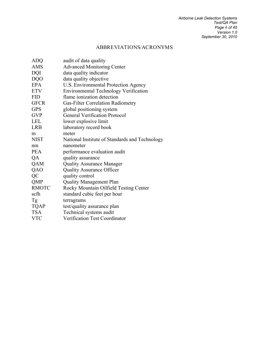# ABBREVIATIONS/ACRONYMS

<span id="page-8-0"></span>

| <b>ADQ</b>   | audit of data quality                          |
|--------------|------------------------------------------------|
| <b>AMS</b>   | <b>Advanced Monitoring Center</b>              |
| DQI          | data quality indicator                         |
| <b>DQO</b>   | data quality objective                         |
| <b>EPA</b>   | U.S. Environmental Protection Agency           |
| <b>ETV</b>   | <b>Environmental Technology Verification</b>   |
| <b>FID</b>   | flame ionization detection                     |
| <b>GFCR</b>  | Gas-Filter Correlation Radiometry              |
| <b>GPS</b>   | global positioning system                      |
| <b>GVP</b>   | <b>General Verification Protocol</b>           |
| <b>LEL</b>   | lower explosive limit                          |
| <b>LRB</b>   | laboratory record book                         |
| m            | meter                                          |
| <b>NIST</b>  | National Institute of Standards and Technology |
| nm           | nanometer                                      |
| <b>PEA</b>   | performance evaluation audit                   |
| QA           | quality assurance                              |
| QAM          | <b>Quality Assurance Manager</b>               |
| QAO          | <b>Quality Assurance Officer</b>               |
| QC           | quality control                                |
| <b>QMP</b>   | <b>Quality Management Plan</b>                 |
| <b>RMOTC</b> | Rocky Mountain Oilfield Testing Center         |
| scfh         | standard cubic feet per hour                   |
| Tg           | terragrams                                     |
| <b>TQAP</b>  | test/quality assurance plan                    |
| <b>TSA</b>   | Technical systems audit                        |
| <b>VTC</b>   | Verification Test Coordinator                  |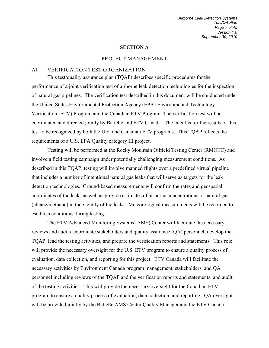#### **SECTION A**

#### PROJECT MANAGEMENT

#### A1 VERIFICATION TEST ORGANIZATION

This test/quality assurance plan (TQAP) describes specific procedures for the performance of a joint verification test of airborne leak detection technologies for the inspection of natural gas pipelines. The verification test described in this document will be conducted under the United States Environmental Protection Agency (EPA) Environmental Technology Verification (ETV) Program and the Canadian ETV Program. The verification test will be coordinated and directed jointly by Battelle and ETV Canada. The intent is for the results of this test to be recognized by both the U.S. and Canadian ETV programs. This TQAP reflects the requirements of a U.S. EPA Quality category III project.

 Testing will be performed at the Rocky Mountain Oilfield Testing Center (RMOTC) and involve a field testing campaign under potentially challenging measurement conditions. As described in this TQAP, testing will involve manned flights over a predefined virtual pipeline that includes a number of intentional natural gas leaks that will serve as targets for the leak detection technologies. Ground-based measurements will confirm the rates and geospatial coordinates of the leaks as well as provide estimates of airborne concentrations of natural gas (ethane/methane) in the vicinity of the leaks. Meteorological measurements will be recorded to establish conditions during testing.

The ETV Advanced Monitoring Systems (AMS) Center will facilitate the necessary reviews and audits, coordinate stakeholders and quality assurance (QA) personnel, develop the TQAP, lead the testing activities, and prepare the verification reports and statements. This role will provide the necessary oversight for the U.S. ETV program to ensure a quality process of evaluation, data collection, and reporting for this project. ETV Canada will facilitate the necessary activities by Environment Canada program management, stakeholders, and QA personnel including reviews of the TQAP and the verification reports and statements, and audit of the testing activities. This will provide the necessary oversight for the Canadian ETV program to ensure a quality process of evaluation, data collection, and reporting. QA oversight will be provided jointly by the Battelle AMS Center Quality Manager and the ETV Canada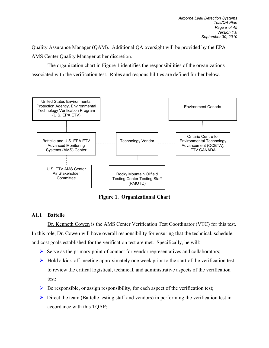Quality Assurance Manager (QAM). Additional QA oversight will be provided by the EPA AMS Center Quality Manager at her discretion.

 The organization chart in Figure 1 identifies the responsibilities of the organizations associated with the verification test. Roles and responsibilities are defined further below.



<span id="page-10-0"></span>**Figure 1. Organizational Chart** 

### **A1.1 Battelle**

 Dr. Kenneth Cowen is the AMS Center Verification Test Coordinator (VTC) for this test. In this role, Dr. Cowen will have overall responsibility for ensuring that the technical, schedule, and cost goals established for the verification test are met. Specifically, he will:

- $\triangleright$  Serve as the primary point of contact for vendor representatives and collaborators;
- $\triangleright$  Hold a kick-off meeting approximately one week prior to the start of the verification test to review the critical logistical, technical, and administrative aspects of the verification test;
- $\triangleright$  Be responsible, or assign responsibility, for each aspect of the verification test;
- $\triangleright$  Direct the team (Battelle testing staff and vendors) in performing the verification test in accordance with this TQAP;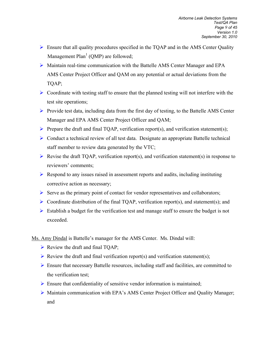- $\triangleright$  Ensure that all quality procedures specified in the TQAP and in the AMS Center Quality Management  $Plan<sup>1</sup> (OMP)$  are followed;
- Maintain real-time communication with the Battelle AMS Center Manager and EPA AMS Center Project Officer and QAM on any potential or actual deviations from the TQAP;
- $\triangleright$  Coordinate with testing staff to ensure that the planned testing will not interfere with the test site operations;
- $\triangleright$  Provide test data, including data from the first day of testing, to the Battelle AMS Center Manager and EPA AMS Center Project Officer and QAM;
- Prepare the draft and final TQAP, verification report(s), and verification statement(s);
- Conduct a technical review of all test data. Designate an appropriate Battelle technical staff member to review data generated by the VTC;
- Revise the draft TQAP, verification report(s), and verification statement(s) in response to reviewers' comments;
- $\triangleright$  Respond to any issues raised in assessment reports and audits, including instituting corrective action as necessary;
- $\triangleright$  Serve as the primary point of contact for vendor representatives and collaborators;
- $\triangleright$  Coordinate distribution of the final TQAP, verification report(s), and statement(s); and
- $\triangleright$  Establish a budget for the verification test and manage staff to ensure the budget is not exceeded.
- Ms. Amy Dindal is Battelle's manager for the AMS Center. Ms. Dindal will:
	- $\triangleright$  Review the draft and final TQAP;
	- Review the draft and final verification report(s) and verification statement(s);
	- Ensure that necessary Battelle resources, including staff and facilities, are committed to the verification test;
	- $\triangleright$  Ensure that confidentiality of sensitive vendor information is maintained;
	- Maintain communication with EPA's AMS Center Project Officer and Quality Manager; and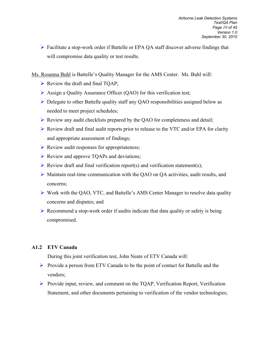Facilitate a stop-work order if Battelle or EPA QA staff discover adverse findings that will compromise data quality or test results.

Ms. Rosanna Buhl is Battelle's Quality Manager for the AMS Center. Ms. Buhl will:

- $\triangleright$  Review the draft and final TQAP;
- $\triangleright$  Assign a Quality Assurance Officer (QAO) for this verification test;
- ▶ Delegate to other Battelle quality staff any QAO responsibilities assigned below as needed to meet project schedules;
- $\triangleright$  Review any audit checklists prepared by the QAO for completeness and detail;
- $\triangleright$  Review draft and final audit reports prior to release to the VTC and/or EPA for clarity and appropriate assessment of findings;
- $\triangleright$  Review audit responses for appropriateness;
- $\triangleright$  Review and approve TQAPs and deviations;
- Review draft and final verification report(s) and verification statement(s);
- $\triangleright$  Maintain real-time communication with the QAO on QA activities, audit results, and concerns;
- Work with the QAO, VTC, and Battelle's AMS Center Manager to resolve data quality concerns and disputes; and
- $\triangleright$  Recommend a stop-work order if audits indicate that data quality or safety is being compromised.

### **A1.2 ETV Canada**

During this joint verification test, John Neate of ETV Canada will:

- $\triangleright$  Provide a person from ETV Canada to be the point of contact for Battelle and the vendors;
- Provide input, review, and comment on the TQAP, Verification Report, Verification Statement, and other documents pertaining to verification of the vendor technologies;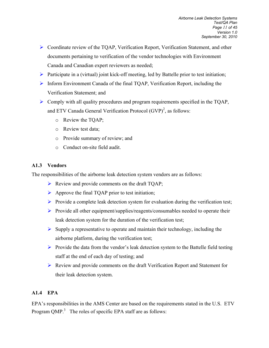- Coordinate review of the TQAP, Verification Report, Verification Statement, and other documents pertaining to verification of the vendor technologies with Environment Canada and Canadian expert reviewers as needed;
- $\triangleright$  Participate in a (virtual) joint kick-off meeting, led by Battelle prior to test initiation;
- $\triangleright$  Inform Environment Canada of the final TQAP, Verification Report, including the Verification Statement; and
- $\triangleright$  Comply with all quality procedures and program requirements specified in the TQAP, and ETV Canada General Verification Protocol  $(GVP)^2$ , as follows:
	- o Review the TQAP;
	- o Review test data;
	- o Provide summary of review; and
	- o Conduct on-site field audit.

### **A1.3 Vendors**

The responsibilities of the airborne leak detection system vendors are as follows:

- $\triangleright$  Review and provide comments on the draft TQAP;
- $\triangleright$  Approve the final TQAP prior to test initiation;
- Provide a complete leak detection system for evaluation during the verification test;
- $\triangleright$  Provide all other equipment/supplies/reagents/consumables needed to operate their leak detection system for the duration of the verification test;
- $\triangleright$  Supply a representative to operate and maintain their technology, including the airborne platform, during the verification test;
- $\triangleright$  Provide the data from the vendor's leak detection system to the Battelle field testing staff at the end of each day of testing; and
- Review and provide comments on the draft Verification Report and Statement for their leak detection system.

### **A1.4 EPA**

EPA's responsibilities in the AMS Center are based on the requirements stated in the U.S. ETV Program QMP. $3$  The roles of specific EPA staff are as follows: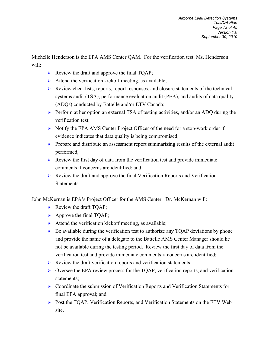Michelle Henderson is the EPA AMS Center QAM. For the verification test, Ms. Henderson will:

- $\triangleright$  Review the draft and approve the final TQAP;
- $\triangleright$  Attend the verification kickoff meeting, as available;
- $\triangleright$  Review checklists, reports, report responses, and closure statements of the technical systems audit (TSA), performance evaluation audit (PEA), and audits of data quality (ADQs) conducted by Battelle and/or ETV Canada;
- $\triangleright$  Perform at her option an external TSA of testing activities, and/or an ADQ during the verification test;
- $\triangleright$  Notify the EPA AMS Center Project Officer of the need for a stop-work order if evidence indicates that data quality is being compromised;
- $\triangleright$  Prepare and distribute an assessment report summarizing results of the external audit performed;
- $\triangleright$  Review the first day of data from the verification test and provide immediate comments if concerns are identified; and
- $\triangleright$  Review the draft and approve the final Verification Reports and Verification **Statements**

John McKernan is EPA's Project Officer for the AMS Center. Dr. McKernan will:

- $\triangleright$  Review the draft TQAP;
- $\triangleright$  Approve the final TQAP;
- $\triangleright$  Attend the verification kickoff meeting, as available;
- $\triangleright$  Be available during the verification test to authorize any TQAP deviations by phone and provide the name of a delegate to the Battelle AMS Center Manager should he not be available during the testing period. Review the first day of data from the verification test and provide immediate comments if concerns are identified;
- $\triangleright$  Review the draft verification reports and verification statements;
- $\triangleright$  Oversee the EPA review process for the TQAP, verification reports, and verification statements;
- $\triangleright$  Coordinate the submission of Verification Reports and Verification Statements for final EPA approval; and
- Post the TQAP, Verification Reports, and Verification Statements on the ETV Web site.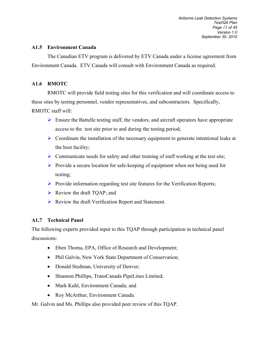#### **A1.5 Environment Canada**

The Canadian ETV program is delivered by ETV Canada under a license agreement from Environment Canada. ETV Canada will consult with Environment Canada as required.

#### **A1.6 RMOTC**

RMOTC will provide field testing sites for this verification and will coordinate access to these sites by testing personnel, vendor representatives, and subcontractors. Specifically, RMOTC staff will:

- $\triangleright$  Ensure the Battelle testing staff, the vendors, and aircraft operators have appropriate access to the test site prior to and during the testing period;
- $\triangleright$  Coordinate the installation of the necessary equipment to generate intentional leaks at the host facility;
- $\triangleright$  Communicate needs for safety and other training of staff working at the test site;
- $\triangleright$  Provide a secure location for safe-keeping of equipment when not being used for testing;
- $\triangleright$  Provide information regarding test site features for the Verification Reports;
- $\triangleright$  Review the draft TQAP; and
- $\triangleright$  Review the draft Verification Report and Statement.

#### **A1.7 Technical Panel**

The following experts provided input to this TQAP through participation in technical panel discussions:

- Eben Thoma, EPA, Office of Research and Development;
- Phil Galvin, New York State Department of Conservation;
- Donald Stedman, University of Denver;
- Shannon Phillips, TransCanada PipeLines Limited;
- Mark Kuhl, Environment Canada; and
- Roy McArthur, Environment Canada.

Mr. Galvin and Ms. Phillips also provided peer review of this TQAP.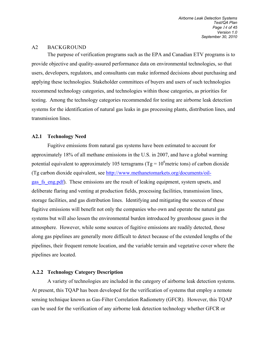#### <span id="page-16-0"></span>A2 BACKGROUND

The purpose of verification programs such as the EPA and Canadian ETV programs is to provide objective and quality-assured performance data on environmental technologies, so that users, developers, regulators, and consultants can make informed decisions about purchasing and applying these technologies. Stakeholder committees of buyers and users of such technologies recommend technology categories, and technologies within those categories, as priorities for testing. Among the technology categories recommended for testing are airborne leak detection systems for the identification of natural gas leaks in gas processing plants, distribution lines, and transmission lines.

#### **A2.1 Technology Need**

Fugitive emissions from natural gas systems have been estimated to account for approximately 18% of all methane emissions in the U.S. in 2007, and have a global warming potential equivalent to approximately 105 terragrams (Tg =  $10^6$ metric tons) of carbon dioxide (Tg carbon dioxide equivalent, see [http://www.methanetomarkets.org/documents/oil](http://www.methanetomarkets.org/documents/oil-gas_fs_eng.pdf)[gas\\_fs\\_eng.pdf\)](http://www.methanetomarkets.org/documents/oil-gas_fs_eng.pdf). These emissions are the result of leaking equipment, system upsets, and deliberate flaring and venting at production fields, processing facilities, transmission lines, storage facilities, and gas distribution lines. Identifying and mitigating the sources of these fugitive emissions will benefit not only the companies who own and operate the natural gas systems but will also lessen the environmental burden introduced by greenhouse gases in the atmosphere. However, while some sources of fugitive emissions are readily detected, those along gas pipelines are generally more difficult to detect because of the extended lengths of the pipelines, their frequent remote location, and the variable terrain and vegetative cover where the pipelines are located.

#### **A.2.2 Technology Category Description**

A variety of technologies are included in the category of airborne leak detection systems. At present, this TQAP has been developed for the verification of systems that employ a remote sensing technique known as Gas-Filter Correlation Radiometry (GFCR). However, this TQAP can be used for the verification of any airborne leak detection technology whether GFCR or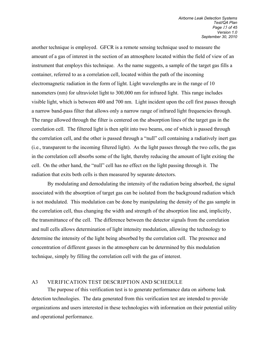another technique is employed. GFCR is a remote sensing technique used to measure the amount of a gas of interest in the section of an atmosphere located within the field of view of an instrument that employs this technique. As the name suggests, a sample of the target gas fills a container, referred to as a correlation cell, located within the path of the incoming electromagnetic radiation in the form of light. Light wavelengths are in the range of 10 nanometers (nm) for ultraviolet light to 300,000 nm for infrared light. This range includes visible light, which is between 400 and 700 nm. Light incident upon the cell first passes through a narrow band-pass filter that allows only a narrow range of infrared light frequencies through. The range allowed through the filter is centered on the absorption lines of the target gas in the correlation cell. The filtered light is then split into two beams, one of which is passed through the correlation cell, and the other is passed through a "null" cell containing a radiatively inert gas (i.e., transparent to the incoming filtered light). As the light passes through the two cells, the gas in the correlation cell absorbs some of the light, thereby reducing the amount of light exiting the cell. On the other hand, the "null" cell has no effect on the light passing through it. The radiation that exits both cells is then measured by separate detectors.

By modulating and demodulating the intensity of the radiation being absorbed, the signal associated with the absorption of target gas can be isolated from the background radiation which is not modulated. This modulation can be done by manipulating the density of the gas sample in the correlation cell, thus changing the width and strength of the absorption line and, implicitly, the transmittance of the cell. The difference between the detector signals from the correlation and null cells allows determination of light intensity modulation, allowing the technology to determine the intensity of the light being absorbed by the correlation cell. The presence and concentration of different gasses in the atmosphere can be determined by this modulation technique, simply by filling the correlation cell with the gas of interest.

#### A3 VERIFICATION TEST DESCRIPTION AND SCHEDULE

The purpose of this verification test is to generate performance data on airborne leak detection technologies. The data generated from this verification test are intended to provide organizations and users interested in these technologies with information on their potential utility and operational performance.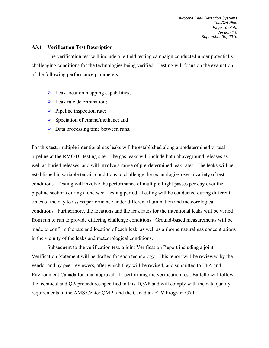#### **A3.1 Verification Test Description**

The verification test will include one field testing campaign conducted under potentially challenging conditions for the technologies being verified. Testing will focus on the evaluation of the following performance parameters:

- $\triangleright$  Leak location mapping capabilities;
- $\blacktriangleright$  Leak rate determination;
- $\triangleright$  Pipeline inspection rate;
- $\triangleright$  Speciation of ethane/methane; and
- $\triangleright$  Data processing time between runs.

For this test, multiple intentional gas leaks will be established along a predetermined virtual pipeline at the RMOTC testing site. The gas leaks will include both aboveground releases as well as buried releases, and will involve a range of pre-determined leak rates. The leaks will be established in variable terrain conditions to challenge the technologies over a variety of test conditions. Testing will involve the performance of multiple flight passes per day over the pipeline sections during a one week testing period. Testing will be conducted during different times of the day to assess performance under different illumination and meteorological conditions. Furthermore, the locations and the leak rates for the intentional leaks will be varied from run to run to provide differing challenge conditions. Ground-based measurements will be made to confirm the rate and location of each leak, as well as airborne natural gas concentrations in the vicinity of the leaks and meteorological conditions.

Subsequent to the verification test, a joint Verification Report including a joint Verification Statement will be drafted for each technology. This report will be reviewed by the vendor and by peer reviewers, after which they will be revised, and submitted to EPA and Environment Canada for final approval. In performing the verification test, Battelle will follow the technical and QA procedures specified in this TQAP and will comply with the data quality requirements in the AMS Center QMP<sup>1</sup> and the Canadian ETV Program GVP.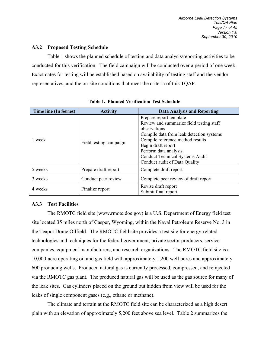#### **A3.2 Proposed Testing Schedule**

Table 1 shows the planned schedule of testing and data analysis/reporting activities to be conducted for this verification. The field campaign will be conducted over a period of one week. Exact dates for testing will be established based on availability of testing staff and the vendor representatives, and the on-site conditions that meet the criteria of this TQAP.

| <b>Time line (In Series)</b> | <b>Activity</b>        | <b>Data Analysis and Reporting</b>                                                                                                                                                                                                                                                            |  |
|------------------------------|------------------------|-----------------------------------------------------------------------------------------------------------------------------------------------------------------------------------------------------------------------------------------------------------------------------------------------|--|
| 1 week                       | Field testing campaign | Prepare report template<br>Review and summarize field testing staff<br>observations<br>Compile data from leak detection systems<br>Compile reference method results<br>Begin draft report<br>Perform data analysis<br><b>Conduct Technical Systems Audit</b><br>Conduct audit of Data Quality |  |
| 5 weeks                      | Prepare draft report   | Complete draft report                                                                                                                                                                                                                                                                         |  |
| 3 weeks                      | Conduct peer review    | Complete peer review of draft report                                                                                                                                                                                                                                                          |  |
| 4 weeks                      | Finalize report        | Revise draft report<br>Submit final report                                                                                                                                                                                                                                                    |  |

<span id="page-19-0"></span>**Table 1. Planned Verification Test Schedule**

## **A3.3 Test Facilities**

 The RMOTC field site (www.rmotc.doe.gov) is a U.S. Department of Energy field test site located 35 miles north of Casper, Wyoming, within the Naval Petroleum Reserve No. 3 in the Teapot Dome Oilfield. The RMOTC field site provides a test site for energy-related technologies and techniques for the federal government, private sector producers, service companies, equipment manufacturers, and research organizations. The RMOTC field site is a 10,000-acre operating oil and gas field with approximately 1,200 well bores and approximately 600 producing wells. Produced natural gas is currently processed, compressed, and reinjected via the RMOTC gas plant. The produced natural gas will be used as the gas source for many of the leak sites. Gas cylinders placed on the ground but hidden from view will be used for the leaks of single component gases (e.g., ethane or methane).

The climate and terrain at the RMOTC field site can be characterized as a high desert plain with an elevation of approximately 5,200 feet above sea level. Table 2 summarizes the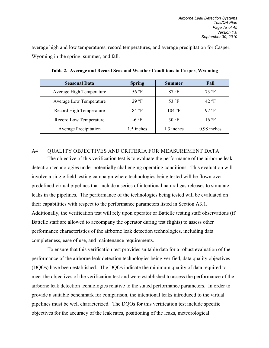<span id="page-20-0"></span>average high and low temperatures, record temperatures, and average precipitation for Casper, Wyoming in the spring, summer, and fall.

| <b>Seasonal Data</b>           | <b>Spring</b>  | <b>Summer</b>           | Fall           |
|--------------------------------|----------------|-------------------------|----------------|
| Average High Temperature       | 56 $\degree$ F | 87 °F                   | $73$ °F        |
| <b>Average Low Temperature</b> | 29 °F          | 53 $\textdegree$ F      | 42 °F          |
| Record High Temperature        | 84 °F          | $104 \text{ }^{\circ}F$ | 97 °F          |
| Record Low Temperature         | $-6$ °F        | 30 $\degree$ F          | $16^{\circ}$ F |
| <b>Average Precipitation</b>   | 1.5 inches     | 1.3 inches              | $0.98$ inches  |

**Table 2. Average and Record Seasonal Weather Conditions in Casper, Wyoming**

#### A4 QUALITY OBJECTIVES AND CRITERIA FOR MEASUREMENT DATA

The objective of this verification test is to evaluate the performance of the airborne leak detection technologies under potentially challenging operating conditions. This evaluation will involve a single field testing campaign where technologies being tested will be flown over predefined virtual pipelines that include a series of intentional natural gas releases to simulate leaks in the pipelines. The performance of the technologies being tested will be evaluated on their capabilities with respect to the performance parameters listed in Section A3.1. Additionally, the verification test will rely upon operator or Battelle testing staff observations (if Battelle staff are allowed to accompany the operator during test flights) to assess other performance characteristics of the airborne leak detection technologies, including data completeness, ease of use, and maintenance requirements.

 To ensure that this verification test provides suitable data for a robust evaluation of the performance of the airborne leak detection technologies being verified, data quality objectives (DQOs) have been established. The DQOs indicate the minimum quality of data required to meet the objectives of the verification test and were established to assess the performance of the airborne leak detection technologies relative to the stated performance parameters. In order to provide a suitable benchmark for comparison, the intentional leaks introduced to the virtual pipelines must be well characterized. The DQOs for this verification test include specific objectives for the accuracy of the leak rates, positioning of the leaks, meteorological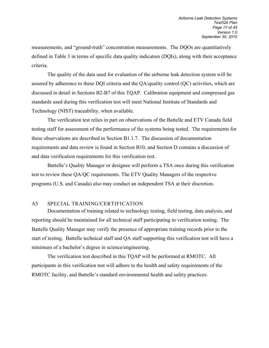measurements, and "ground-truth" concentration measurements. The DQOs are quantitatively defined in Table 3 in terms of specific data quality indicators (DQIs), along with their acceptance criteria.

 The quality of the data used for evaluation of the airborne leak detection system will be assured by adherence to these DQI criteria and the QA/quality control (QC) activities, which are discussed in detail in Sections B2-B7 of this TQAP. Calibration equipment and compressed gas standards used during this verification test will meet National Institute of Standards and Technology (NIST) traceability, when available.

The verification test relies in part on observations of the Battelle and ETV Canada field testing staff for assessment of the performance of the systems being tested. The requirements for these observations are described in Section B1.1.7. The discussion of documentation requirements and data review is found in Section B10, and Section D contains a discussion of and data verification requirements for this verification test.

Battelle's Quality Manager or designee will perform a TSA once during this verification test to review these QA/QC requirements. The ETV Quality Managers of the respective programs (U.S. and Canada) also may conduct an independent TSA at their discretion.

#### A5 SPECIAL TRAINING/CERTIFICATION

 Documentation of training related to technology testing, field testing, data analysis, and reporting should be maintained for all technical staff participating in verification testing. The Battelle Quality Manager may verify the presence of appropriate training records prior to the start of testing. Battelle technical staff and QA staff supporting this verification test will have a minimum of a bachelor's degree in science/engineering.

The verification test described in this TQAP will be performed at RMOTC. All participants in this verification test will adhere to the health and safety requirements of the RMOTC facility, and Battelle's standard environmental health and safety practices.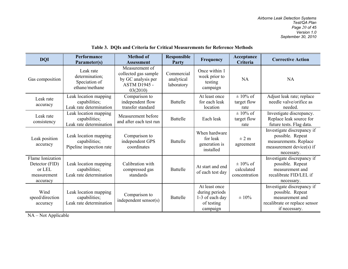| <b>DQI</b>                                                              | Performance<br>Parameter(s)                                        | <b>Method of</b><br><b>Assessment</b>                                                           | <b>Responsible</b><br>Party            | Frequency                                                                    | Acceptance<br>Criteria                      | <b>Corrective Action</b>                                                                                            |
|-------------------------------------------------------------------------|--------------------------------------------------------------------|-------------------------------------------------------------------------------------------------|----------------------------------------|------------------------------------------------------------------------------|---------------------------------------------|---------------------------------------------------------------------------------------------------------------------|
| Gas composition                                                         | Leak rate<br>determination;<br>Speciation of<br>ethane/methane     | Measurement of<br>collected gas sample<br>by GC analysis per<br><b>ASTM D1945 -</b><br>03(2010) | Commercial<br>analytical<br>laboratory | Once within 1<br>week prior to<br>testing<br>campaign                        | NA                                          | <b>NA</b>                                                                                                           |
| Leak rate<br>accuracy                                                   | Leak location mapping<br>capabilities;<br>Leak rate determination  | Comparison to<br>independent flow<br>transfer standard                                          | <b>Battelle</b>                        | At least once<br>for each leak<br>location                                   | $\pm$ 10% of<br>target flow<br>rate         | Adjust leak rate; replace<br>needle valve/orifice as<br>needed.                                                     |
| Leak rate<br>consistency                                                | Leak location mapping<br>capabilities;<br>Leak rate determination  | Measurement before<br>and after each test run                                                   | <b>Battelle</b>                        | Each leak                                                                    | $\pm$ 10% of<br>target flow<br>rate         | Investigate discrepancy.<br>Replace leak source for<br>future tests. Flag data.                                     |
| Leak position<br>accuracy                                               | Leak location mapping<br>capabilities;<br>Pipeline inspection rate | Comparison to<br>independent GPS<br>coordinates                                                 | <b>Battelle</b>                        | When hardware<br>for leak<br>generation is<br>installed                      | $\pm$ 2 m<br>agreement                      | Investigate discrepancy if<br>possible. Repeat<br>measurements. Replace<br>measurement device(s) if<br>necessary.   |
| Flame Ionization<br>Detector (FID)<br>or LEL<br>measurement<br>accuracy | Leak location mapping<br>capabilities;<br>Leak rate determination  | Calibration with<br>compressed gas<br>standards                                                 | <b>Battelle</b>                        | At start and end<br>of each test day                                         | $\pm$ 10% of<br>calculated<br>concentration | Investigate discrepancy if<br>possible. Repeat<br>measurement and<br>recalibrate FID/LEL if<br>necessary.           |
| Wind<br>speed/direction<br>accuracy                                     | Leak location mapping<br>capabilities;<br>Leak rate determination  | Comparison to<br>independent sensor(s)                                                          | <b>Battelle</b>                        | At least once<br>during periods<br>1-3 of each day<br>of testing<br>campaign | ± 10%                                       | Investigate discrepancy if<br>possible. Repeat<br>measurement and<br>recalibrate or replace sensor<br>if necessary. |

#### <span id="page-22-0"></span>**Table 3. DQIs and Criteria for Critical Measurements for Reference Methods**

NA – Not Applicable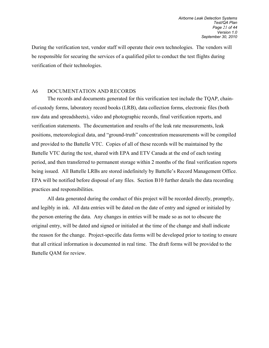During the verification test, vendor staff will operate their own technologies. The vendors will be responsible for securing the services of a qualified pilot to conduct the test flights during verification of their technologies.

#### A6 DOCUMENTATION AND RECORDS

 The records and documents generated for this verification test include the TQAP, chainof-custody forms, laboratory record books (LRB), data collection forms, electronic files (both raw data and spreadsheets), video and photographic records, final verification reports, and verification statements. The documentation and results of the leak rate measurements, leak positions, meteorological data, and "ground-truth" concentration measurements will be compiled and provided to the Battelle VTC. Copies of all of these records will be maintained by the Battelle VTC during the test, shared with EPA and ETV Canada at the end of each testing period, and then transferred to permanent storage within 2 months of the final verification reports being issued. All Battelle LRBs are stored indefinitely by Battelle's Record Management Office. EPA will be notified before disposal of any files. Section B10 further details the data recording practices and responsibilities.

 All data generated during the conduct of this project will be recorded directly, promptly, and legibly in ink. All data entries will be dated on the date of entry and signed or initialed by the person entering the data. Any changes in entries will be made so as not to obscure the original entry, will be dated and signed or initialed at the time of the change and shall indicate the reason for the change. Project-specific data forms will be developed prior to testing to ensure that all critical information is documented in real time. The draft forms will be provided to the Battelle QAM for review.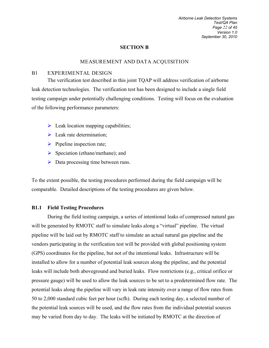#### **SECTION B**

#### MEASUREMENT AND DATA ACQUISITION

#### B1 EXPERIMENTAL DESIGN

The verification test described in this joint TQAP will address verification of airborne leak detection technologies. The verification test has been designed to include a single field testing campaign under potentially challenging conditions. Testing will focus on the evaluation of the following performance parameters:

- $\triangleright$  Leak location mapping capabilities;
- $\triangleright$  Leak rate determination;
- $\triangleright$  Pipeline inspection rate;
- $\triangleright$  Speciation (ethane/methane); and
- $\triangleright$  Data processing time between runs.

To the extent possible, the testing procedures performed during the field campaign will be comparable. Detailed descriptions of the testing procedures are given below.

#### **B1.1 Field Testing Procedures**

During the field testing campaign, a series of intentional leaks of compressed natural gas will be generated by RMOTC staff to simulate leaks along a "virtual" pipeline. The virtual pipeline will be laid out by RMOTC staff to simulate an actual natural gas pipeline and the vendors participating in the verification test will be provided with global positioning system (GPS) coordinates for the pipeline, but not of the intentional leaks. Infrastructure will be installed to allow for a number of potential leak sources along the pipeline, and the potential leaks will include both aboveground and buried leaks. Flow restrictions (e.g., critical orifice or pressure gauge) will be used to allow the leak sources to be set to a predetermined flow rate. The potential leaks along the pipeline will vary in leak rate intensity over a range of flow rates from 50 to 2,000 standard cubic feet per hour (scfh). During each testing day, a selected number of the potential leak sources will be used, and the flow rates from the individual potential sources may be varied from day to day. The leaks will be initiated by RMOTC at the direction of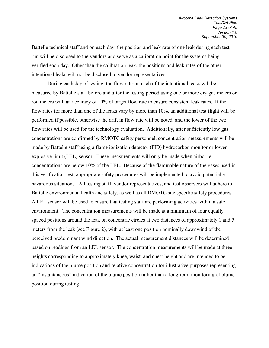Battelle technical staff and on each day, the position and leak rate of one leak during each test run will be disclosed to the vendors and serve as a calibration point for the systems being verified each day. Other than the calibration leak, the positions and leak rates of the other intentional leaks will not be disclosed to vendor representatives.

 During each day of testing, the flow rates at each of the intentional leaks will be measured by Battelle staff before and after the testing period using one or more dry gas meters or rotameters with an accuracy of 10% of target flow rate to ensure consistent leak rates. If the flow rates for more than one of the leaks vary by more than 10%, an additional test flight will be performed if possible, otherwise the drift in flow rate will be noted, and the lower of the two flow rates will be used for the technology evaluation. Additionally, after sufficiently low gas concentrations are confirmed by RMOTC safety personnel, concentration measurements will be made by Battelle staff using a flame ionization detector (FID) hydrocarbon monitor or lower explosive limit (LEL) sensor. These measurements will only be made when airborne concentrations are below 10% of the LEL. Because of the flammable nature of the gases used in this verification test, appropriate safety procedures will be implemented to avoid potentially hazardous situations. All testing staff, vendor representatives, and test observers will adhere to Battelle environmental health and safety, as well as all RMOTC site specific safety procedures. A LEL sensor will be used to ensure that testing staff are performing activities within a safe environment. The concentration measurements will be made at a minimum of four equally spaced positions around the leak on concentric circles at two distances of approximately 1 and 5 meters from the leak (see Figure 2), with at least one position nominally downwind of the perceived predominant wind direction. The actual measurement distances will be determined based on readings from an LEL sensor. The concentration measurements will be made at three heights corresponding to approximately knee, waist, and chest height and are intended to be indications of the plume position and relative concentration for illustrative purposes representing an "instantaneous" indication of the plume position rather than a long-term monitoring of plume position during testing.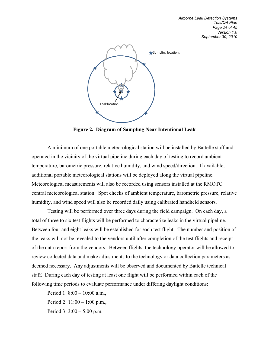

<span id="page-26-0"></span>**Figure 2. Diagram of Sampling Near Intentional Leak** 

 A minimum of one portable meteorological station will be installed by Battelle staff and operated in the vicinity of the virtual pipeline during each day of testing to record ambient temperature, barometric pressure, relative humidity, and wind speed/direction. If available, additional portable meteorological stations will be deployed along the virtual pipeline. Meteorological measurements will also be recorded using sensors installed at the RMOTC central meteorological station. Spot checks of ambient temperature, barometric pressure, relative humidity, and wind speed will also be recorded daily using calibrated handheld sensors.

 Testing will be performed over three days during the field campaign. On each day, a total of three to six test flights will be performed to characterize leaks in the virtual pipeline. Between four and eight leaks will be established for each test flight. The number and position of the leaks will not be revealed to the vendors until after completion of the test flights and receipt of the data report from the vendors. Between flights, the technology operator will be allowed to review collected data and make adjustments to the technology or data collection parameters as deemed necessary. Any adjustments will be observed and documented by Battelle technical staff. During each day of testing at least one flight will be performed within each of the following time periods to evaluate performance under differing daylight conditions:

Period 1: 8:00 – 10:00 a.m., Period 2: 11:00 – 1:00 p.m.,

Period 3: 3:00 – 5:00 p.m.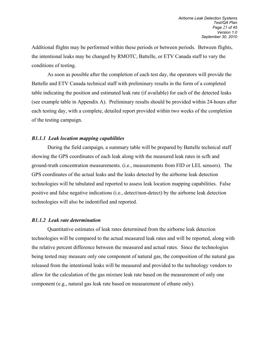Additional flights may be performed within these periods or between periods. Between flights, the intentional leaks may be changed by RMOTC, Battelle, or ETV Canada staff to vary the conditions of testing.

As soon as possible after the completion of each test day, the operators will provide the Battelle and ETV Canada technical staff with preliminary results in the form of a completed table indicating the position and estimated leak rate (if available) for each of the detected leaks (see example table in Appendix A). Preliminary results should be provided within 24-hours after each testing day, with a complete, detailed report provided within two weeks of the completion of the testing campaign.

#### *B1.1.1 Leak location mapping capabilities*

During the field campaign, a summary table will be prepared by Battelle technical staff showing the GPS coordinates of each leak along with the measured leak rates in scfh and ground-truth concentration measurements. (i.e., measurements from FID or LEL sensors). The GPS coordinates of the actual leaks and the leaks detected by the airborne leak detection technologies will be tabulated and reported to assess leak location mapping capabilities. False positive and false negative indications (i.e., detect/non-detect) by the airborne leak detection technologies will also be indentified and reported.

#### *B1.1.2 Leak rate determination*

Quantitative estimates of leak rates determined from the airborne leak detection technologies will be compared to the actual measured leak rates and will be reported, along with the relative percent difference between the measured and actual rates. Since the technologies being tested may measure only one component of natural gas, the composition of the natural gas released from the intentional leaks will be measured and provided to the technology vendors to allow for the calculation of the gas mixture leak rate based on the measurement of only one component (e.g., natural gas leak rate based on measurement of ethane only).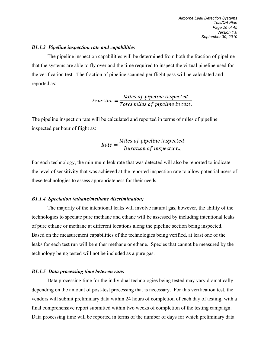#### *B1.1.3 Pipeline inspection rate and capabilities*

The pipeline inspection capabilities will be determined from both the fraction of pipeline that the systems are able to fly over and the time required to inspect the virtual pipeline used for the verification test. The fraction of pipeline scanned per flight pass will be calculated and reported as:

$$
Fraction = \frac{Miles\ of\ pipeline\ inspected}{Total\ miles\ of\ pipeline\ in\ test.}
$$

The pipeline inspection rate will be calculated and reported in terms of miles of pipeline inspected per hour of flight as:

$$
Rate = \frac{Miles\ of\ pipeline\ inspected}{Duration\ of\ inspection.}
$$

For each technology, the minimum leak rate that was detected will also be reported to indicate the level of sensitivity that was achieved at the reported inspection rate to allow potential users of these technologies to assess appropriateness for their needs.

#### *B1.1.4 Speciation (ethane/methane discrimination)*

The majority of the intentional leaks will involve natural gas, however, the ability of the technologies to speciate pure methane and ethane will be assessed by including intentional leaks of pure ethane or methane at different locations along the pipeline section being inspected. Based on the measurement capabilities of the technologies being verified, at least one of the leaks for each test run will be either methane or ethane. Species that cannot be measured by the technology being tested will not be included as a pure gas.

#### *B1.1.5 Data processing time between runs*

Data processing time for the individual technologies being tested may vary dramatically depending on the amount of post-test processing that is necessary. For this verification test, the vendors will submit preliminary data within 24 hours of completion of each day of testing, with a final comprehensive report submitted within two weeks of completion of the testing campaign. Data processing time will be reported in terms of the number of days for which preliminary data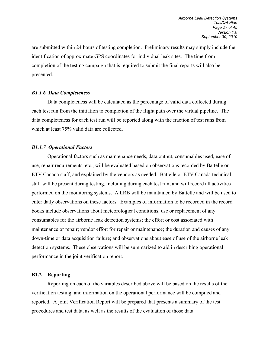are submitted within 24 hours of testing completion. Preliminary results may simply include the identification of approximate GPS coordinates for individual leak sites. The time from completion of the testing campaign that is required to submit the final reports will also be presented.

#### *B1.1.6 Data Completeness*

Data completeness will be calculated as the percentage of valid data collected during each test run from the initiation to completion of the flight path over the virtual pipeline. The data completeness for each test run will be reported along with the fraction of test runs from which at least 75% valid data are collected.

#### *B1.1.7 Operational Factors*

Operational factors such as maintenance needs, data output, consumables used, ease of use, repair requirements, etc., will be evaluated based on observations recorded by Battelle or ETV Canada staff, and explained by the vendors as needed. Battelle or ETV Canada technical staff will be present during testing, including during each test run, and will record all activities performed on the monitoring systems. A LRB will be maintained by Battelle and will be used to enter daily observations on these factors. Examples of information to be recorded in the record books include observations about meteorological conditions; use or replacement of any consumables for the airborne leak detection systems; the effort or cost associated with maintenance or repair; vendor effort for repair or maintenance; the duration and causes of any down-time or data acquisition failure; and observations about ease of use of the airborne leak detection systems. These observations will be summarized to aid in describing operational performance in the joint verification report.

#### **B1.2 Reporting**

 Reporting on each of the variables described above will be based on the results of the verification testing, and information on the operational performance will be compiled and reported. A joint Verification Report will be prepared that presents a summary of the test procedures and test data, as well as the results of the evaluation of those data.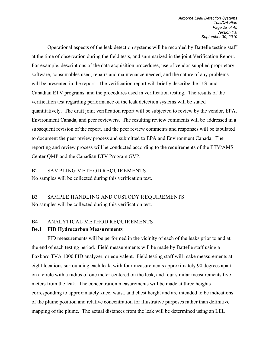Operational aspects of the leak detection systems will be recorded by Battelle testing staff at the time of observation during the field tests, and summarized in the joint Verification Report. For example, descriptions of the data acquisition procedures, use of vendor-supplied proprietary software, consumables used, repairs and maintenance needed, and the nature of any problems will be presented in the report. The verification report will briefly describe the U.S. and Canadian ETV programs, and the procedures used in verification testing. The results of the verification test regarding performance of the leak detection systems will be stated quantitatively. The draft joint verification report will be subjected to review by the vendor, EPA, Environment Canada, and peer reviewers. The resulting review comments will be addressed in a subsequent revision of the report, and the peer review comments and responses will be tabulated to document the peer review process and submitted to EPA and Environment Canada. The reporting and review process will be conducted according to the requirements of the ETV/AMS Center QMP and the Canadian ETV Program GVP.

#### B2 SAMPLING METHOD REQUIREMENTS

No samples will be collected during this verification test.

# B3 SAMPLE HANDLING AND CUSTODY REQUIREMENTS No samples will be collected during this verification test.

#### B4 ANALYTICAL METHOD REQUIREMENTS

#### **B4.1 FID Hydrocarbon Measurements**

 FID measurements will be performed in the vicinity of each of the leaks prior to and at the end of each testing period. Field measurements will be made by Battelle staff using a Foxboro TVA 1000 FID analyzer, or equivalent. Field testing staff will make measurements at eight locations surrounding each leak, with four measurements approximately 90 degrees apart on a circle with a radius of one meter centered on the leak, and four similar measurements five meters from the leak. The concentration measurements will be made at three heights corresponding to approximately knee, waist, and chest height and are intended to be indications of the plume position and relative concentration for illustrative purposes rather than definitive mapping of the plume. The actual distances from the leak will be determined using an LEL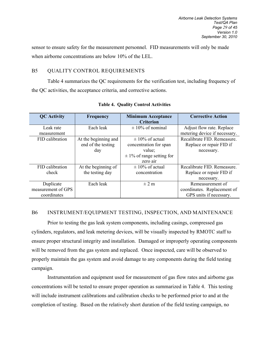sensor to ensure safety for the measurement personnel. FID measurements will only be made when airborne concentrations are below 10% of the LEL.

#### B5 QUALITY CONTROL REQUIREMENTS

Table 4 summarizes the QC requirements for the verification test, including frequency of the QC activities, the acceptance criteria, and corrective actions.

| <b>QC</b> Activity | <b>Frequency</b>     | <b>Minimum Acceptance</b>     | <b>Corrective Action</b>      |
|--------------------|----------------------|-------------------------------|-------------------------------|
|                    |                      | <b>Criterion</b>              |                               |
| Leak rate          | Each leak            | $\pm 10\%$ of nominal         | Adjust flow rate. Replace     |
| measurement        |                      |                               | metering device if necessary. |
| FID calibration    | At the beginning and | $\pm$ 10% of actual           | Recalibrate FID. Remeasure.   |
|                    | end of the testing   | concentration for span        | Replace or repair FID if      |
|                    | day                  | value;                        | necessary.                    |
|                    |                      | $\pm$ 1% of range setting for |                               |
|                    |                      | zero air                      |                               |
| FID calibration    | At the beginning of  | $\pm$ 10% of actual           | Recalibrate FID. Remeasure.   |
| check              | the testing day      | concentration                 | Replace or repair FID if      |
|                    |                      |                               | necessary.                    |
| Duplicate          | Each leak            | $\pm$ 2 m                     | Remeasurement of              |
| measurement of GPS |                      |                               | coordinates. Replacement of   |
| coordinates        |                      |                               | GPS units if necessary.       |

<span id="page-31-0"></span>**Table 4. Quality Control Activities**

### B6 INSTRUMENT/EQUIPMENT TESTING, INSPECTION, AND MAINTENANCE

Prior to testing the gas leak system components, including casings, compressed gas cylinders, regulators, and leak metering devices, will be visually inspected by RMOTC staff to ensure proper structural integrity and installation. Damaged or improperly operating components will be removed from the gas system and replaced. Once inspected, care will be observed to properly maintain the gas system and avoid damage to any components during the field testing campaign.

 Instrumentation and equipment used for measurement of gas flow rates and airborne gas concentrations will be tested to ensure proper operation as summarized in Table 4. This testing will include instrument calibrations and calibration checks to be performed prior to and at the completion of testing. Based on the relatively short duration of the field testing campaign, no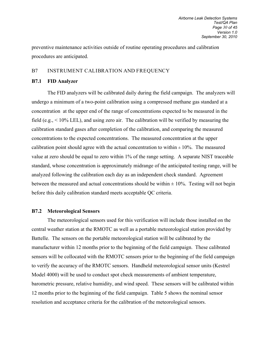preventive maintenance activities outside of routine operating procedures and calibration procedures are anticipated.

#### B7 INSTRUMENT CALIBRATION AND FREQUENCY

#### **B7.1 FID Analyzer**

The FID analyzers will be calibrated daily during the field campaign. The analyzers will undergo a minimum of a two-point calibration using a compressed methane gas standard at a concentration at the upper end of the range of concentrations expected to be measured in the field (e.g.,  $\leq 10\%$  LEL), and using zero air. The calibration will be verified by measuring the calibration standard gases after completion of the calibration, and comparing the measured concentrations to the expected concentrations. The measured concentration at the upper calibration point should agree with the actual concentration to within  $\pm 10\%$ . The measured value at zero should be equal to zero within 1% of the range setting. A separate NIST traceable standard, whose concentration is approximately midrange of the anticipated testing range, will be analyzed following the calibration each day as an independent check standard. Agreement between the measured and actual concentrations should be within  $\pm 10\%$ . Testing will not begin before this daily calibration standard meets acceptable QC criteria.

#### **B7.2 Meteorological Sensors**

The meteorological sensors used for this verification will include those installed on the central weather station at the RMOTC as well as a portable meteorological station provided by Battelle. The sensors on the portable meteorological station will be calibrated by the manufacturer within 12 months prior to the beginning of the field campaign. These calibrated sensors will be collocated with the RMOTC sensors prior to the beginning of the field campaign to verify the accuracy of the RMOTC sensors. Handheld meteorological sensor units (Kestrel Model 4000) will be used to conduct spot check measurements of ambient temperature, barometric pressure, relative humidity, and wind speed. These sensors will be calibrated within 12 months prior to the beginning of the field campaign. Table 5 shows the nominal sensor resolution and acceptance criteria for the calibration of the meteorological sensors.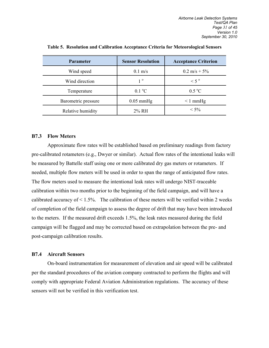| <b>Parameter</b>    | <b>Sensor Resolution</b> | <b>Acceptance Criterion</b> |
|---------------------|--------------------------|-----------------------------|
| Wind speed          | $0.1 \text{ m/s}$        | $0.2 \text{ m/s} + 5\%$     |
| Wind direction      | $1^{\circ}$              | $< 5$ <sup>o</sup>          |
| Temperature         | $0.1 \degree C$          | $0.5\degree C$              |
| Barometric pressure | $0.05$ mmHg              | $\leq 1$ mmHg               |
| Relative humidity   | 2% RH                    | $< 5\%$                     |

<span id="page-33-1"></span>**Table 5. Resolution and Calibration Acceptance Criteria for Meteorological Sensors**

#### **B7.3 Flow Meters**

Approximate flow rates will be established based on preliminary readings from factory pre-calibrated rotameters (e.g., Dwyer or similar). Actual flow rates of the intentional leaks will be measured by Battelle staff using one or more calibrated dry gas meters or rotameters. If needed, multiple flow meters will be used in order to span the range of anticipated flow rates. The flow meters used to measure the intentional leak rates will undergo NIST-traceable calibration within two months prior to the beginning of the field campaign, and will have a calibrated accuracy of  $\leq 1.5\%$ . The calibration of these meters will be verified within 2 weeks of completion of the field campaign to assess the degree of drift that may have been introduced to the meters. If the measured drift exceeds 1.5%, the leak rates measured during the field campaign will be flagged and may be corrected based on extrapolation between the pre- and post-campaign calibration results.

#### <span id="page-33-0"></span>**B7.4 Aircraft Sensors**

On-board instrumentation for measurement of elevation and air speed will be calibrated per the standard procedures of the aviation company contracted to perform the flights and will comply with appropriate Federal Aviation Administration regulations. The accuracy of these sensors will not be verified in this verification test.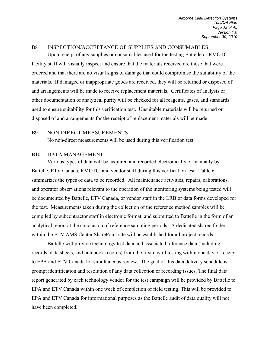#### <span id="page-34-0"></span>B8 INSPECTION/ACCEPTANCE OF SUPPLIES AND CONSUMABLES

 Upon receipt of any supplies or consumables used for the testing Battelle or RMOTC facility staff will visually inspect and ensure that the materials received are those that were ordered and that there are no visual signs of damage that could compromise the suitability of the materials. If damaged or inappropriate goods are received, they will be returned or disposed of and arrangements will be made to receive replacement materials. Certificates of analysis or other documentation of analytical purity will be checked for all reagents, gases, and standards used to ensure suitability for this verification test. Unsuitable materials will be returned or disposed of and arrangements for the receipt of replacement materials will be made.

#### B9 NON-DIRECT MEASUREMENTS

<span id="page-34-2"></span><span id="page-34-1"></span>No non-direct measurements will be used during this verification test.

#### B10 DATA MANAGEMENT

 Various types of data will be acquired and recorded electronically or manually by Battelle, ETV Canada, RMOTC, and vendor staff during this verification test. Table 6 summarizes the types of data to be recorded. All maintenance activities, repairs, calibrations, and operator observations relevant to the operation of the monitoring systems being tested will be documented by Battelle, ETV Canada, or vendor staff in the LRB or data forms developed for the test. Measurements taken during the collection of the reference method samples will be compiled by subcontractor staff in electronic format, and submitted to Battelle in the form of an analytical report at the conclusion of reference sampling periods. A dedicated shared folder within the ETV AMS Center SharePoint site will be established for all project records.

 Battelle will provide technology test data and associated reference data (including records, data sheets, and notebook records) from the first day of testing within one day of receipt to EPA and ETV Canada for simultaneous review. The goal of this data delivery schedule is prompt identification and resolution of any data collection or recording issues. The final data report generated by each technology vendor for the test campaign will be provided by Battelle to EPA and ETV Canada within one week of completion of field testing. This will be provided to EPA and ETV Canada for informational purposes as the Battelle audit of data quality will not have been completed.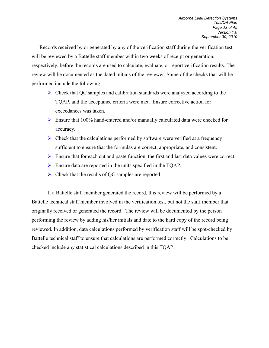Records received by or generated by any of the verification staff during the verification test will be reviewed by a Battelle staff member within two weeks of receipt or generation, respectively, before the records are used to calculate, evaluate, or report verification results. The review will be documented as the dated initials of the reviewer. Some of the checks that will be performed include the following.

- $\triangleright$  Check that QC samples and calibration standards were analyzed according to the TQAP, and the acceptance criteria were met. Ensure corrective action for exceedances was taken.
- $\triangleright$  Ensure that 100% hand-entered and/or manually calculated data were checked for accuracy.
- $\triangleright$  Check that the calculations performed by software were verified at a frequency sufficient to ensure that the formulas are correct, appropriate, and consistent.
- $\triangleright$  Ensure that for each cut and paste function, the first and last data values were correct.
- Ensure data are reported in the units specified in the TQAP.
- $\triangleright$  Check that the results of QC samples are reported.

If a Battelle staff member generated the record, this review will be performed by a Battelle technical staff member involved in the verification test, but not the staff member that originally received or generated the record. The review will be documented by the person performing the review by adding his/her initials and date to the hard copy of the record being reviewed. In addition, data calculations performed by verification staff will be spot-checked by Battelle technical staff to ensure that calculations are performed correctly. Calculations to be checked include any statistical calculations described in this TQAP.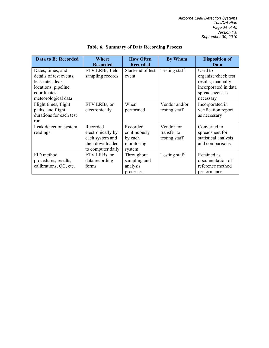<span id="page-36-0"></span>

| <b>Data to Be Recorded</b> | Where<br><b>Recorded</b> | <b>How Often</b><br><b>Recorded</b> | <b>By Whom</b> | <b>Disposition of</b><br>Data |
|----------------------------|--------------------------|-------------------------------------|----------------|-------------------------------|
| Dates, times, and          | ETV LRBs, field          | Start/end of test                   | Testing staff  | Used to                       |
| details of test events,    | sampling records         | event                               |                | organize/check test           |
| leak rates, leak           |                          |                                     |                | results; manually             |
| locations, pipeline        |                          |                                     |                | incorporated in data          |
| coordinates,               |                          |                                     |                | spreadsheets as               |
| meteorological data        |                          |                                     |                | necessary                     |
| Flight times, flight       | ETV LRBs, or             | When                                | Vendor and/or  | Incorporated in               |
| paths, and flight          | electronically           | performed                           | testing staff  | verification report           |
| durations for each test    |                          |                                     |                | as necessary                  |
| run                        |                          |                                     |                |                               |
| Leak detection system      | Recorded                 | Recorded                            | Vendor for     | Converted to                  |
| readings                   | electronically by        | continuously                        | transfer to    | spreadsheet for               |
|                            | each system and          | by each                             | testing staff  | statistical analysis          |
|                            | then downloaded          | monitoring                          |                | and comparisons               |
|                            | to computer daily        | system                              |                |                               |
| FID method                 | ETV LRBs, or             | Throughout                          | Testing staff  | Retained as                   |
| procedures, results,       | data recording           | sampling and                        |                | documentation of              |
| calibrations, QC, etc.     | forms                    | analysis                            |                | reference method              |
|                            |                          | processes                           |                | performance                   |

### **Table 6. Summary of Data Recording Process**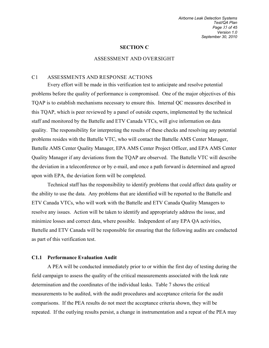#### <span id="page-37-1"></span><span id="page-37-0"></span>**SECTION C**

#### ASSESSMENT AND OVERSIGHT

#### C1 ASSESSMENTS AND RESPONSE ACTIONS

 Every effort will be made in this verification test to anticipate and resolve potential problems before the quality of performance is compromised. One of the major objectives of this TQAP is to establish mechanisms necessary to ensure this. Internal QC measures described in this TQAP, which is peer reviewed by a panel of outside experts, implemented by the technical staff and monitored by the Battelle and ETV Canada VTCs, will give information on data quality. The responsibility for interpreting the results of these checks and resolving any potential problems resides with the Battelle VTC, who will contact the Battelle AMS Center Manager, Battelle AMS Center Quality Manager, EPA AMS Center Project Officer, and EPA AMS Center Quality Manager if any deviations from the TQAP are observed. The Battelle VTC will describe the deviation in a teleconference or by e-mail, and once a path forward is determined and agreed upon with EPA, the deviation form will be completed.

Technical staff has the responsibility to identify problems that could affect data quality or the ability to use the data. Any problems that are identified will be reported to the Battelle and ETV Canada VTCs, who will work with the Battelle and ETV Canada Quality Managers to resolve any issues. Action will be taken to identify and appropriately address the issue, and minimize losses and correct data, where possible. Independent of any EPA QA activities, Battelle and ETV Canada will be responsible for ensuring that the following audits are conducted as part of this verification test.

#### <span id="page-37-2"></span>**C1.1 Performance Evaluation Audit**

A PEA will be conducted immediately prior to or within the first day of testing during the field campaign to assess the quality of the critical measurements associated with the leak rate determination and the coordinates of the individual leaks. Table 7 shows the critical measurements to be audited, with the audit procedures and acceptance criteria for the audit comparisons. If the PEA results do not meet the acceptance criteria shown, they will be repeated. If the outlying results persist, a change in instrumentation and a repeat of the PEA may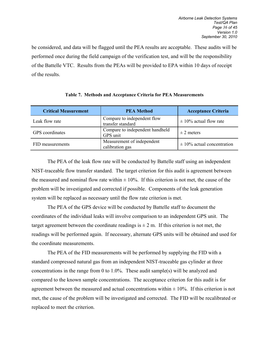<span id="page-38-0"></span>be considered, and data will be flagged until the PEA results are acceptable. These audits will be performed once during the field campaign of the verification test, and will be the responsibility of the Battelle VTC. Results from the PEAs will be provided to EPA within 10 days of receipt of the results.

| <b>Critical Measurement</b>                                        | <b>PEA Method</b>                             | <b>Acceptance Criteria</b>     |
|--------------------------------------------------------------------|-----------------------------------------------|--------------------------------|
| Compare to independent flow<br>Leak flow rate<br>transfer standard |                                               | $\pm$ 10% actual flow rate     |
| <b>GPS</b> coordinates                                             | Compare to independent handheld<br>GPS unit   | $\pm$ 2 meters                 |
| FID measurements                                                   | Measurement of independent<br>calibration gas | $\pm$ 10% actual concentration |

#### **Table 7. Methods and Acceptance Criteria for PEA Measurements**

 The PEA of the leak flow rate will be conducted by Battelle staff using an independent NIST-traceable flow transfer standard. The target criterion for this audit is agreement between the measured and nominal flow rate within  $\pm 10\%$ . If this criterion is not met, the cause of the problem will be investigated and corrected if possible. Components of the leak generation system will be replaced as necessary until the flow rate criterion is met.

The PEA of the GPS device will be conducted by Battelle staff to document the coordinates of the individual leaks will involve comparison to an independent GPS unit. The target agreement between the coordinate readings is  $\pm 2$  m. If this criterion is not met, the readings will be performed again. If necessary, alternate GPS units will be obtained and used for the coordinate measurements.

 The PEA of the FID measurements will be performed by supplying the FID with a standard compressed natural gas from an independent NIST-traceable gas cylinder at three concentrations in the range from 0 to 1.0%. These audit sample(s) will be analyzed and compared to the known sample concentrations. The acceptance criterion for this audit is for agreement between the measured and actual concentrations within  $\pm 10\%$ . If this criterion is not met, the cause of the problem will be investigated and corrected. The FID will be recalibrated or replaced to meet the criterion.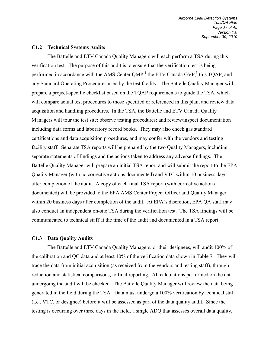#### <span id="page-39-0"></span>**C1.2 Technical Systems Audits**

The Battelle and ETV Canada Quality Managers will each perform a TSA during this verification test. The purpose of this audit is to ensure that the verification test is being performed in accordance with the AMS Center QMP,<sup>1</sup> the ETV Canada GVP,<sup>3</sup> this TQAP, and any Standard Operating Procedures used by the test facility. The Battelle Quality Manager will prepare a project-specific checklist based on the TQAP requirements to guide the TSA, which will compare actual test procedures to those specified or referenced in this plan, and review data acquisition and handling procedures. In the TSA, the Battelle and ETV Canada Quality Managers will tour the test site; observe testing procedures; and review/inspect documentation including data forms and laboratory record books. They may also check gas standard certifications and data acquisition procedures, and may confer with the vendors and testing facility staff. Separate TSA reports will be prepared by the two Quality Managers, including separate statements of findings and the actions taken to address any adverse findings. The Battelle Quality Manager will prepare an initial TSA report and will submit the report to the EPA Quality Manager (with no corrective actions documented) and VTC within 10 business days after completion of the audit. A copy of each final TSA report (with corrective actions documented) will be provided to the EPA AMS Center Project Officer and Quality Manager within 20 business days after completion of the audit. At EPA's discretion, EPA QA staff may also conduct an independent on-site TSA during the verification test. The TSA findings will be communicated to technical staff at the time of the audit and documented in a TSA report.

#### <span id="page-39-1"></span>**C1.3 Data Quality Audits**

 The Battelle and ETV Canada Quality Managers, or their designees, will audit 100% of the calibration and QC data and at least 10% of the verification data shown in Table 7. They will trace the data from initial acquisition (as received from the vendors and testing staff), through reduction and statistical comparisons, to final reporting. All calculations performed on the data undergoing the audit will be checked. The Battelle Quality Manager will review the data being generated in the field during the TSA. Data must undergo a 100% verification by technical staff (i.e., VTC, or designee) before it will be assessed as part of the data quality audit. Since the testing is occurring over three days in the field, a single ADQ that assesses overall data quality,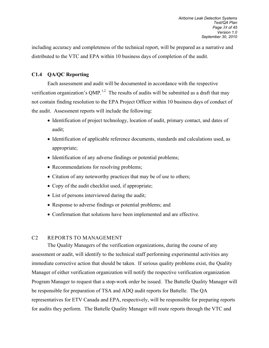including accuracy and completeness of the technical report, will be prepared as a narrative and distributed to the VTC and EPA within 10 business days of completion of the audit.

### <span id="page-40-0"></span>**C1.4 QA/QC Reporting**

Each assessment and audit will be documented in accordance with the respective verification organization's QMP.<sup>1,2</sup> The results of audits will be submitted as a draft that may not contain finding resolution to the EPA Project Officer within 10 business days of conduct of the audit. Assessment reports will include the following:

- Identification of project technology, location of audit, primary contact, and dates of audit;
- Identification of applicable reference documents, standards and calculations used, as appropriate;
- Identification of any adverse findings or potential problems;
- Recommendations for resolving problems;
- Citation of any noteworthy practices that may be of use to others;
- Copy of the audit checklist used, if appropriate;
- List of persons interviewed during the audit;
- Response to adverse findings or potential problems; and
- <span id="page-40-1"></span>• Confirmation that solutions have been implemented and are effective.

## C2 REPORTS TO MANAGEMENT

 The Quality Managers of the verification organizations, during the course of any assessment or audit, will identify to the technical staff performing experimental activities any immediate corrective action that should be taken. If serious quality problems exist, the Quality Manager of either verification organization will notify the respective verification organization Program Manager to request that a stop-work order be issued. The Battelle Quality Manager will be responsible for preparation of TSA and ADQ audit reports for Battelle. The QA representatives for ETV Canada and EPA, respectively, will be responsible for preparing reports for audits they perform. The Battelle Quality Manager will route reports through the VTC and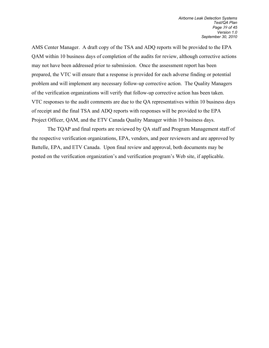AMS Center Manager. A draft copy of the TSA and ADQ reports will be provided to the EPA QAM within 10 business days of completion of the audits for review, although corrective actions may not have been addressed prior to submission. Once the assessment report has been prepared, the VTC will ensure that a response is provided for each adverse finding or potential problem and will implement any necessary follow-up corrective action. The Quality Managers of the verification organizations will verify that follow-up corrective action has been taken. VTC responses to the audit comments are due to the QA representatives within 10 business days of receipt and the final TSA and ADQ reports with responses will be provided to the EPA Project Officer, QAM, and the ETV Canada Quality Manager within 10 business days.

The TQAP and final reports are reviewed by QA staff and Program Management staff of the respective verification organizations, EPA, vendors, and peer reviewers and are approved by Battelle, EPA, and ETV Canada. Upon final review and approval, both documents may be posted on the verification organization's and verification program's Web site, if applicable.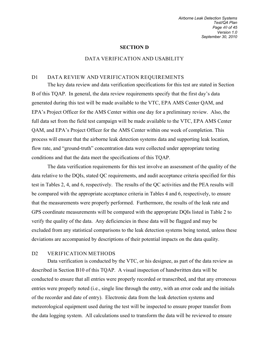<span id="page-42-1"></span><span id="page-42-0"></span>*Airborne Leak Detection Systems Test/QA Plan Page 40 of 45 Version 1.0 September 30, 2010*

#### **SECTION D**

#### DATA VERIFICATION AND USABILITY

#### D1 DATA REVIEW AND VERIFICATION REQUIREMENTS

The key data review and data verification specifications for this test are stated in Section B of this TQAP. In general, the data review requirements specify that the first day's data generated during this test will be made available to the VTC, EPA AMS Center QAM, and EPA's Project Officer for the AMS Center within one day for a preliminary review. Also, the full data set from the field test campaign will be made available to the VTC, EPA AMS Center QAM, and EPA's Project Officer for the AMS Center within one week of completion. This process will ensure that the airborne leak detection systems data and supporting leak location, flow rate, and "ground-truth" concentration data were collected under appropriate testing conditions and that the data meet the specifications of this TQAP.

 The data verification requirements for this test involve an assessment of the quality of the data relative to the DQIs, stated QC requirements, and audit acceptance criteria specified for this test in Tables 2, 4, and 6, respectively. The results of the QC activities and the PEA results will be compared with the appropriate acceptance criteria in Tables 4 and 6, respectively, to ensure that the measurements were properly performed. Furthermore, the results of the leak rate and GPS coordinate measurements will be compared with the appropriate DQIs listed in Table 2 to verify the quality of the data. Any deficiencies in these data will be flagged and may be excluded from any statistical comparisons to the leak detection systems being tested, unless these deviations are accompanied by descriptions of their potential impacts on the data quality.

#### <span id="page-42-2"></span>D2 VERIFICATION METHODS

 Data verification is conducted by the VTC, or his designee, as part of the data review as described in Section B10 of this TQAP. A visual inspection of handwritten data will be conducted to ensure that all entries were properly recorded or transcribed, and that any erroneous entries were properly noted (i.e., single line through the entry, with an error code and the initials of the recorder and date of entry). Electronic data from the leak detection systems and meteorological equipment used during the test will be inspected to ensure proper transfer from the data logging system. All calculations used to transform the data will be reviewed to ensure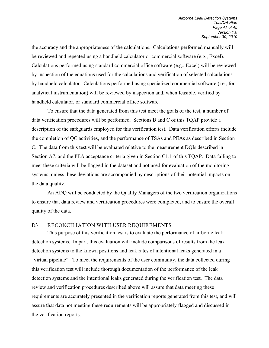the accuracy and the appropriateness of the calculations. Calculations performed manually will be reviewed and repeated using a handheld calculator or commercial software (e.g., Excel). Calculations performed using standard commercial office software (e.g., Excel) will be reviewed by inspection of the equations used for the calculations and verification of selected calculations by handheld calculator. Calculations performed using specialized commercial software (i.e., for analytical instrumentation) will be reviewed by inspection and, when feasible, verified by handheld calculator, or standard commercial office software.

To ensure that the data generated from this test meet the goals of the test, a number of data verification procedures will be performed. Sections B and C of this TQAP provide a description of the safeguards employed for this verification test. Data verification efforts include the completion of QC activities, and the performance of TSAs and PEAs as described in Section C. The data from this test will be evaluated relative to the measurement DQIs described in Section A7, and the PEA acceptance criteria given in Section C1.1 of this TQAP. Data failing to meet these criteria will be flagged in the dataset and not used for evaluation of the monitoring systems, unless these deviations are accompanied by descriptions of their potential impacts on the data quality.

An ADQ will be conducted by the Quality Managers of the two verification organizations to ensure that data review and verification procedures were completed, and to ensure the overall quality of the data.

#### <span id="page-43-0"></span>D3 RECONCILIATION WITH USER REQUIREMENTS

 This purpose of this verification test is to evaluate the performance of airborne leak detection systems. In part, this evaluation will include comparisons of results from the leak detection systems to the known positions and leak rates of intentional leaks generated in a "virtual pipeline". To meet the requirements of the user community, the data collected during this verification test will include thorough documentation of the performance of the leak detection systems and the intentional leaks generated during the verification test. The data review and verification procedures described above will assure that data meeting these requirements are accurately presented in the verification reports generated from this test, and will assure that data not meeting these requirements will be appropriately flagged and discussed in the verification reports.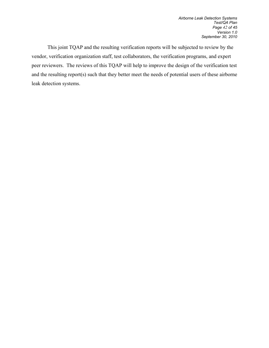This joint TQAP and the resulting verification reports will be subjected to review by the vendor, verification organization staff, test collaborators, the verification programs, and expert peer reviewers. The reviews of this TQAP will help to improve the design of the verification test and the resulting report(s) such that they better meet the needs of potential users of these airborne leak detection systems.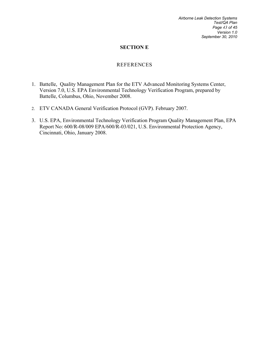*Airborne Leak Detection Systems Test/QA Plan Page 43 of 45 Version 1.0 September 30, 2010*

#### **SECTION E**

#### REFERENCES

- <span id="page-45-0"></span>1. Battelle, Quality Management Plan for the ETV Advanced Monitoring Systems Center, Version 7.0, U.S. EPA Environmental Technology Verification Program, prepared by Battelle, Columbus, Ohio, November 2008.
- 2. ETV CANADA General Verification Protocol (GVP). February 2007.
- 3. U.S. EPA, Environmental Technology Verification Program Quality Management Plan, EPA Report No: 600/R-08/009 EPA/600/R-03/021, U.S. Environmental Protection Agency, Cincinnati, Ohio, January 2008.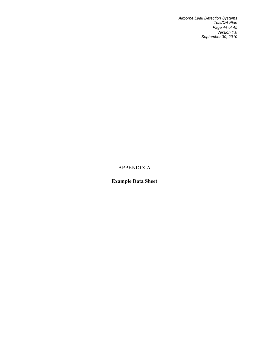*Airborne Leak Detection Systems Test/QA Plan Page 44 of 45 Version 1.0 September 30, 2010*

# APPENDIX A

# <span id="page-46-0"></span>**Example Data Sheet**